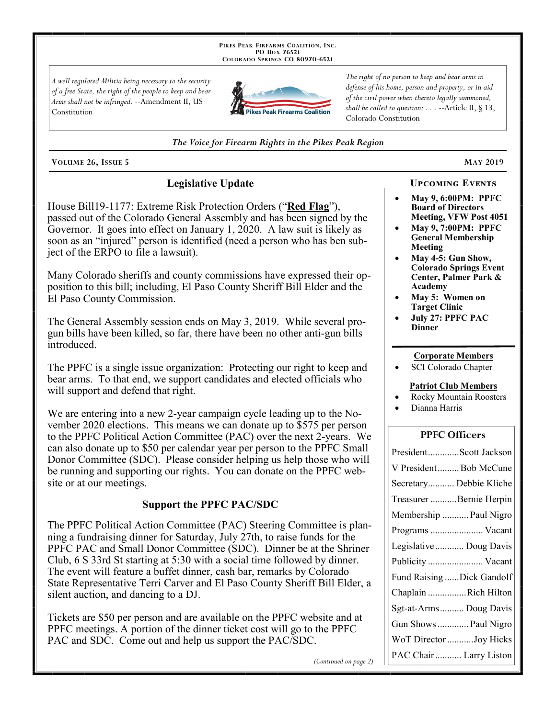PIKES PEAK FIREARMS COALITION, INC. PO Box 76521 COLORADO SPRINGS CO 80970-6521

A well regulated Militia being necessary to the security of a free State, the right of the people to keep and bear Arms shall not be infringed. --Amendment II, US Constitution



The right of no person to keep and bear arms in defense of his home, person and property, or in aid of the civil power when thereto legally summoned, shall be called to question;  $\ldots$  --Article II, § 13, Colorado Constitution

The Voice for Firearm Rights in the Pikes Peak Region

VOLUME 26, ISSUE 5

# **Legislative Update**

House Bill19-1177: Extreme Risk Protection Orders ("Red Flag"), passed out of the Colorado General Assembly and has been signed by the Governor. It goes into effect on January 1, 2020. A law suit is likely as soon as an "injured" person is identified (need a person who has ben subject of the ERPO to file a lawsuit).

Many Colorado sheriffs and county commissions have expressed their opposition to this bill; including, El Paso County Sheriff Bill Elder and the El Paso County Commission.

The General Assembly session ends on May 3, 2019. While several progun bills have been killed, so far, there have been no other anti-gun bills introduced.

The PPFC is a single issue organization: Protecting our right to keep and bear arms. To that end, we support candidates and elected officials who will support and defend that right.

We are entering into a new 2-year campaign cycle leading up to the November 2020 elections. This means we can donate up to \$575 per person to the PPFC Political Action Committee (PAC) over the next 2-years. We can also donate up to \$50 per calendar year per person to the PPFC Small Donor Committee (SDC). Please consider helping us help those who will be running and supporting our rights. You can donate on the PPFC website or at our meetings.

## **Support the PPFC PAC/SDC**

The PPFC Political Action Committee (PAC) Steering Committee is planning a fundraising dinner for Saturday, July 27th, to raise funds for the PPFC PAC and Small Donor Committee (SDC). Dinner be at the Shriner Club, 6 S 33rd St starting at 5:30 with a social time followed by dinner. The event will feature a buffet dinner, cash bar, remarks by Colorado State Representative Terri Carver and El Paso County Sheriff Bill Elder, a silent auction, and dancing to a DJ.

Tickets are \$50 per person and are available on the PPFC website and at PPFC meetings. A portion of the dinner ticket cost will go to the PPFC PAC and SDC. Come out and help us support the PAC/SDC.

(Continued on page 2)

**UPCOMING EVENTS** 

**MAY 2019** 

- **May 9, 6:00PM: PPFC Board of Directors Meeting, VFW Post 4051**
- May 9, 7:00PM: PPFC **General Membership** Meeting
- May 4-5: Gun Show, **Colorado Springs Event** Center, Palmer Park & Academy
- May 5: Women on **Target Clinic**
- **July 27: PPFC PAC Dinner**

## **Corporate Members**

SCI Colorado Chapter

### **Patriot Club Members**

- **Rocky Mountain Roosters**
- Dianna Harris

## **PPFC Officers**

| PresidentScott Jackson    |
|---------------------------|
| V PresidentBob McCune     |
| Secretary Debbie Kliche   |
| Treasurer Bernie Herpin   |
| Membership  Paul Nigro    |
| Programs  Vacant          |
| Legislative  Doug Davis   |
|                           |
| Publicity  Vacant         |
| Fund Raising Dick Gandolf |
| Chaplain Rich Hilton      |
| Sgt-at-Arms Doug Davis    |
| Gun Shows  Paul Nigro     |
| WoT Director Joy Hicks    |